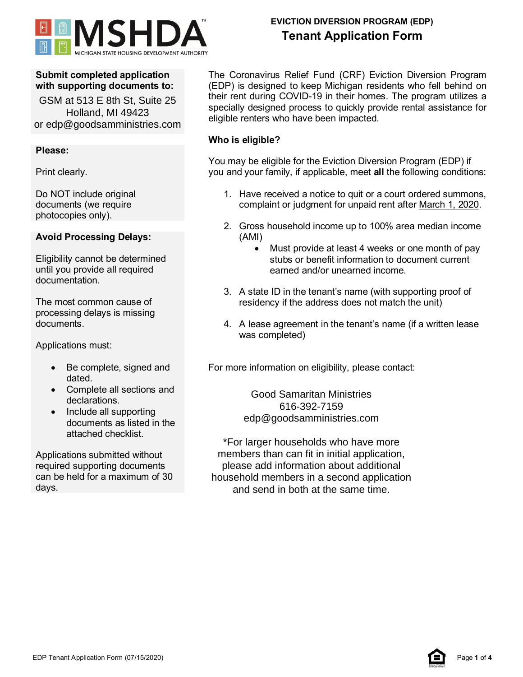

## **Submit completed application with supporting documents to:**

GSM at 513 E 8th St, Suite 25 Holland, MI 49423 or edp@goodsamministries.com

## **Please:**

Print clearly.

Do NOT include original documents (we require photocopies only).

## **Avoid Processing Delays:**

Eligibility cannot be determined until you provide all required documentation.

The most common cause of processing delays is missing documents.

Applications must:

- Be complete, signed and dated.
- Complete all sections and declarations.
- Include all supporting documents as listed in the attached checklist.

Applications submitted without required supporting documents can be held for a maximum of 30 days.

# **EVICTION DIVERSION PROGRAM (EDP) Tenant Application Form**

The Coronavirus Relief Fund (CRF) Eviction Diversion Program (EDP) is designed to keep Michigan residents who fell behind on their rent during COVID-19 in their homes. The program utilizes a specially designed process to quickly provide rental assistance for eligible renters who have been impacted.

## **Who is eligible?**

You may be eligible for the Eviction Diversion Program (EDP) if you and your family, if applicable, meet **all** the following conditions:

- 1. Have received a notice to quit or a court ordered summons, complaint or judgment for unpaid rent after March 1, 2020.
- 2. Gross household income up to 100% area median income (AMI)
	- Must provide at least 4 weeks or one month of pay stubs or benefit information to document current earned and/or unearned income.
- 3. A state ID in the tenant's name (with supporting proof of residency if the address does not match the unit)
- 4. A lease agreement in the tenant's name (if a written lease was completed)

For more information on eligibility, please contact:

Good Samaritan Ministries 616-392-7159 edp@goodsamministries.com

\*For larger households who have more members than can fit in initial application, please add information about additional household members in a second application and send in both at the same time.

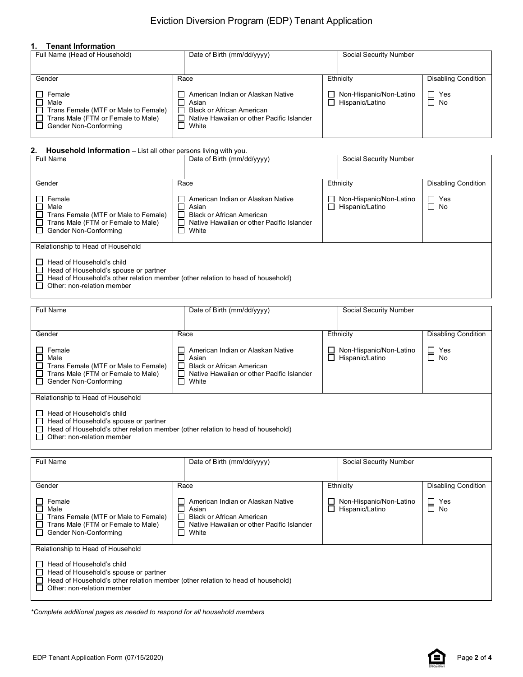## Eviction Diversion Program (EDP) Tenant Application

### **1. Tenant Information**

| Full Name (Head of Household)                                                                                                  | Date of Birth (mm/dd/yyyy)                                                                                                                                             | Social Security Number                     |                            |
|--------------------------------------------------------------------------------------------------------------------------------|------------------------------------------------------------------------------------------------------------------------------------------------------------------------|--------------------------------------------|----------------------------|
| Gender                                                                                                                         | Race                                                                                                                                                                   | Ethnicity                                  | <b>Disabling Condition</b> |
| $\Box$ Female<br>Male<br>Trans Female (MTF or Male to Female)<br>Trans Male (FTM or Female to Male)<br>□ Gender Non-Conforming | American Indian or Alaskan Native<br>$\mathbf{1}$<br>Asian<br><b>Black or African American</b><br>Native Hawaiian or other Pacific Islander<br>White<br>$\blacksquare$ | Non-Hispanic/Non-Latino<br>Hispanic/Latino | II Yes<br>$\Box$ No        |

### **2. Household Information** – List all other persons living with you.

| <b>Full Name</b>                                                                                                                                                                                                                         | Date of Birth (mm/dd/yyyy)                                                                                                                                              |                                            |                            |  |
|------------------------------------------------------------------------------------------------------------------------------------------------------------------------------------------------------------------------------------------|-------------------------------------------------------------------------------------------------------------------------------------------------------------------------|--------------------------------------------|----------------------------|--|
| Gender                                                                                                                                                                                                                                   | Race                                                                                                                                                                    | Ethnicity                                  | <b>Disabling Condition</b> |  |
| Female<br>П<br>Male<br>Trans Female (MTF or Male to Female)<br>Trans Male (FTM or Female to Male)<br>Gender Non-Conforming<br>$\perp$                                                                                                    | American Indian or Alaskan Native<br>$\Box$<br>Asian<br>$\Box$<br><b>Black or African American</b><br>$\Box$<br>Native Hawaiian or other Pacific Islander<br>П<br>White | Non-Hispanic/Non-Latino<br>Hispanic/Latino | $\Box$ Yes<br>$\Box$ No    |  |
| Relationship to Head of Household<br>Head of Household's child<br>Head of Household's spouse or partner<br>$\mathsf{L}$<br>Head of Household's other relation member (other relation to head of household)<br>Other: non-relation member |                                                                                                                                                                         |                                            |                            |  |

| <b>Full Name</b>                                                                                                                                                                                                                               | Date of Birth (mm/dd/yyyy)                                                                                                                                    | Social Security Number                           |                            |
|------------------------------------------------------------------------------------------------------------------------------------------------------------------------------------------------------------------------------------------------|---------------------------------------------------------------------------------------------------------------------------------------------------------------|--------------------------------------------------|----------------------------|
| Gender                                                                                                                                                                                                                                         | Race                                                                                                                                                          | Ethnicity                                        | <b>Disabling Condition</b> |
| Female<br>- 1<br>Male<br>H<br>Trans Female (MTF or Male to Female)<br>$\perp$<br>Trans Male (FTM or Female to Male)<br>ΙI<br>Gender Non-Conforming<br>$\perp$                                                                                  | American Indian or Alaskan Native<br>Asian<br><b>Black or African American</b><br>$\Box$<br>$\Box$<br>Native Hawaiian or other Pacific Islander<br>П<br>White | Non-Hispanic/Non-Latino<br>Hispanic/Latino       | $\Box$ Yes<br>$\Box$ No    |
| Relationship to Head of Household<br>Head of Household's child<br>Head of Household's spouse or partner<br>ΙI<br>Head of Household's other relation member (other relation to head of household)<br>Other: non-relation member<br>$\mathsf{L}$ |                                                                                                                                                               |                                                  |                            |
| $  -$                                                                                                                                                                                                                                          |                                                                                                                                                               | $\sim$ $\sim$ $\sim$ $\sim$ $\sim$ $\sim$ $\sim$ |                            |

| Full Name                                                                                                                                                                               | Date of Birth (mm/dd/yyyy)                                                                                                                                                 | Social Security Number                     |                            |  |
|-----------------------------------------------------------------------------------------------------------------------------------------------------------------------------------------|----------------------------------------------------------------------------------------------------------------------------------------------------------------------------|--------------------------------------------|----------------------------|--|
| Gender                                                                                                                                                                                  | Race                                                                                                                                                                       | Ethnicity                                  | <b>Disabling Condition</b> |  |
| Female<br>$\perp$<br>П<br>Male<br>Trans Female (MTF or Male to Female)<br>$\Box$<br>Trans Male (FTM or Female to Male)<br>$\Box$<br>Gender Non-Conforming<br>$\Box$                     | American Indian or Alaskan Native<br>Asian<br><b>Black or African American</b><br>$\Box$<br>Native Hawaiian or other Pacific Islander<br>White<br>$\overline{\phantom{a}}$ | Non-Hispanic/Non-Latino<br>Hispanic/Latino | $\Box$ Yes<br>$\Box$ No    |  |
| Relationship to Head of Household<br>Head of Household's child<br>$\perp$                                                                                                               |                                                                                                                                                                            |                                            |                            |  |
| Head of Household's spouse or partner<br>$\perp$<br>Head of Household's other relation member (other relation to head of household)<br>$\perp$<br>Other: non-relation member<br>$\perp$ |                                                                                                                                                                            |                                            |                            |  |

*\*Complete additional pages as needed to respond for all household members*

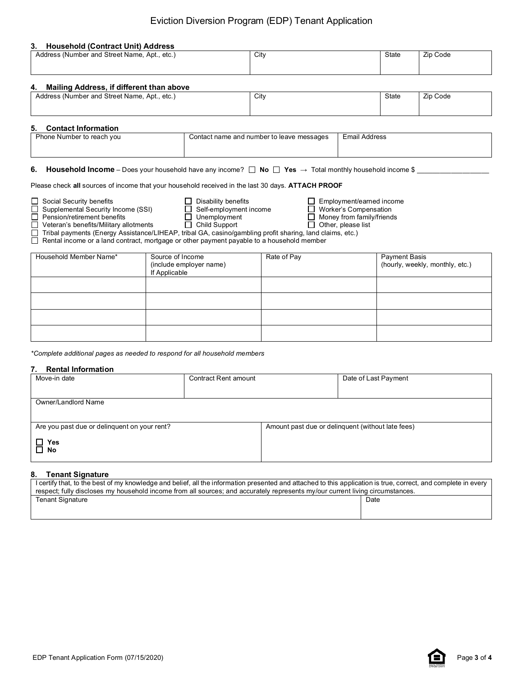## Eviction Diversion Program (EDP) Tenant Application

#### **3. Household (Contract Unit) Address**

| Address (Number and Street Name, Apt., etc.)   | City | State | Zip Code |
|------------------------------------------------|------|-------|----------|
|                                                |      |       |          |
| Mailing Address, if different than above<br>4. |      |       |          |
| Address (Number and Street Name, Apt., etc.)   | City | State | Zip Code |

### **5. Contact Information**

| <b>U.</b> UUIKQUL IIIUI IIIQUUI |                                           |                      |
|---------------------------------|-------------------------------------------|----------------------|
| Phone Number to reach you       | Contact name and number to leave messages | <b>Email Address</b> |
|                                 |                                           |                      |

### **6. Household Income** – Does your household have any income? □ No □ Yes → Total monthly household income \$ \_\_\_\_\_\_\_\_\_\_\_\_\_\_\_\_\_\_\_\_

Please check **all** sources of income that your household received in the last 30 days. **ATTACH PROOF**

<u> 1980 - Johann Barn, mars an t-Amerikaansk komponister (</u>

| Household Member Name* | Source of Income<br>(include employer name)<br>If Applicable | Rate of Pay | Payment Basis<br>(hourly, weekly, monthly, etc.) |
|------------------------|--------------------------------------------------------------|-------------|--------------------------------------------------|
|                        |                                                              |             |                                                  |
|                        |                                                              |             |                                                  |
|                        |                                                              |             |                                                  |
|                        |                                                              |             |                                                  |

*\*Complete additional pages as needed to respond for all household members*

#### **7. Rental Information**

| Move-in date                                 | <b>Contract Rent amount</b> | Date of Last Payment                              |
|----------------------------------------------|-----------------------------|---------------------------------------------------|
|                                              |                             |                                                   |
| Owner/Landlord Name                          |                             |                                                   |
|                                              |                             |                                                   |
| Are you past due or delinquent on your rent? |                             | Amount past due or delinguent (without late fees) |
|                                              |                             |                                                   |
| $\Box$ Yes<br>$\square$ No                   |                             |                                                   |
|                                              |                             |                                                   |

### **8. Tenant Signature**

| I certify that, to the best of my knowledge and belief, all the information presented and attached to this application is true, correct, and complete in every |  |  |
|----------------------------------------------------------------------------------------------------------------------------------------------------------------|--|--|
| respect: fully discloses my household income from all sources: and accurately represents my/our current living circumstances.                                  |  |  |
| Date<br>Tenant Signature                                                                                                                                       |  |  |
|                                                                                                                                                                |  |  |
|                                                                                                                                                                |  |  |